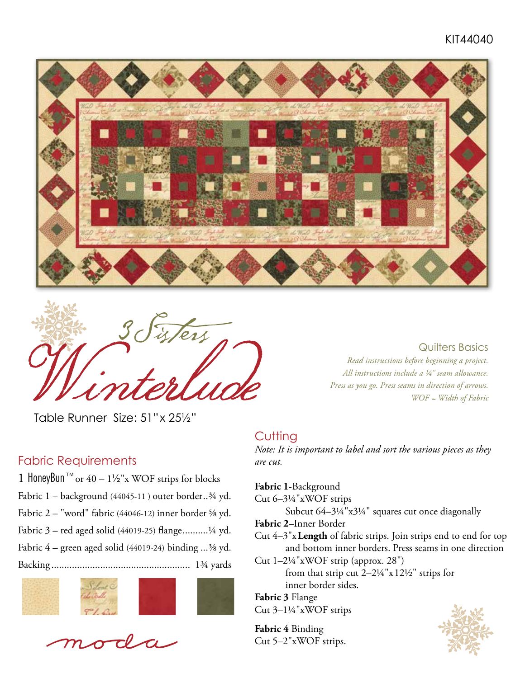## KIT44040





Table RunnerSize: 51"x 25½"

#### Fabric Requirements

1 HoneyBun<sup>™</sup> or 40 – 1½"x WOF strips for blocks Fabric 1 – background (44045-11 ) outer border..¾ yd. Fabric 2 – "word" fabric (44046-12) inner border ⅝ yd. Fabric 3 – red aged solid (44019-25) flange..........¼ yd. Fabric  $4$  – green aged solid (44019-24) binding ... $3/8$  yd. Backing ...................................................... 1¾ yards





*Read instructions before beginning a project. All instructions include a ¼" seam allowance. Press as you go. Press seams in direction of arrows. WOF = Width of Fabric*

Quilters Basics

#### **Cutting**

*Note: It is important to label and sort the various pieces as they are cut.* 

**Fabric 1**-Background

Cut 6–3¼"xWOF strips

Subcut 64–3¼"x3¼" squares cut once diagonally

**Fabric 2**–Inner Border

Cut 4–3"x**Length** of fabric strips. Join strips end to end for top and bottom inner borders. Press seams in one direction

Cut 1–2¼"xWOF strip (approx. 28")

from that strip cut 2–2¼"x12½" strips for inner border sides.

**Fabric 3** Flange Cut 3–1¼"xWOF strips

**Fabric 4** Binding Cut 5–2"xWOF strips.

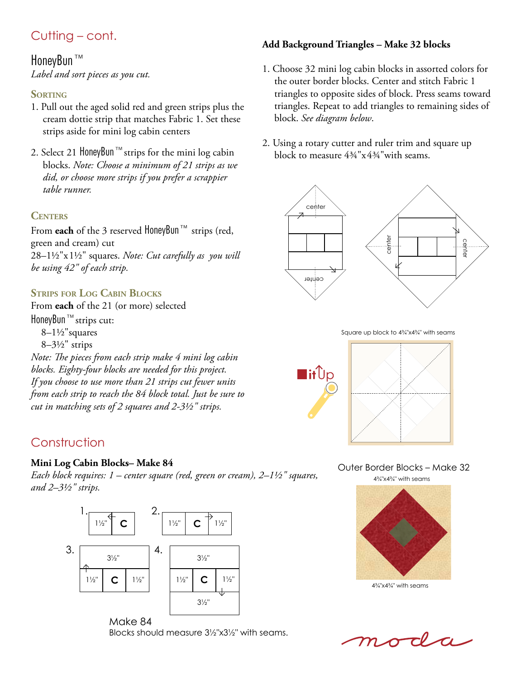# Cutting – cont.

### HoneyBun™

*Label and sort pieces as you cut.*

#### **SORTING**

- 1. Pull out the aged solid red and green strips plus the cream dottie strip that matches Fabric 1. Set these strips aside for mini log cabin centers
- 2. Select 21 HoneyBun™strips for the mini log cabin blocks. *Note: Choose a minimum of 21 strips as we did, or choose more strips if you prefer a scrappier table runner.*

#### **Centers**

From **each** of the 3 reserved HoneyBun™ strips (red, green and cream) cut 28–1½"x1½" squares. *Note: Cut carefully as you will be using 42" of each strip.* 

### **Strips for Log Cabin Blocks**

From **each** of the 21 (or more) selected HoneyBun™strips cut: 8–1½"squares  $8-3\frac{1}{2}$ " strips *Note: The pieces from each strip make 4 mini log cabin blocks. Eighty-four blocks are needed for this project. If you choose to use more than 21 strips cut fewer units from each strip to reach the 84 block total. Just be sure to cut in matching sets of 2 squares and 2-3½" strips.*

# Construction

#### **Mini Log Cabin Blocks– Make 84**

*Each block requires: 1 – center square (red, green or cream), 2–1½" squares, and 2–3½" strips.*



Make 84 Blocks should measure 3½"x3½" with seams.

#### **Add Background Triangles – Make 32 blocks**

- 1. Choose 32 mini log cabin blocks in assorted colors for the outer border blocks. Center and stitch Fabric 1 triangles to opposite sides of block. Press seams toward triangles. Repeat to add triangles to remaining sides of block. *See diagram below*.
- 2. Using a rotary cutter and ruler trim and square up block to measure 4¾"x4¾"with seams.



Square up block to 4¾"x4¾" with seams



Outer Border Blocks – Make 32 4¾"x4¾" with seams



4¾"x4¾" with seams